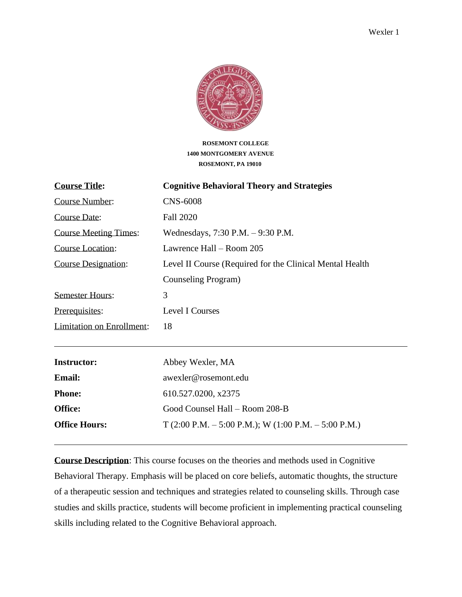

**ROSEMONT COLLEGE 1400 MONTGOMERY AVENUE ROSEMONT, PA 19010**

| <b>Course Title:</b>             | <b>Cognitive Behavioral Theory and Strategies</b>        |
|----------------------------------|----------------------------------------------------------|
| Course Number:                   | <b>CNS-6008</b>                                          |
| <b>Course Date:</b>              | <b>Fall 2020</b>                                         |
| <b>Course Meeting Times:</b>     | Wednesdays, 7:30 P.M. - 9:30 P.M.                        |
| <b>Course Location:</b>          | Lawrence Hall – Room 205                                 |
| <b>Course Designation:</b>       | Level II Course (Required for the Clinical Mental Health |
|                                  | Counseling Program)                                      |
| <b>Semester Hours:</b>           | 3                                                        |
| Prerequisites:                   | <b>Level I Courses</b>                                   |
| <b>Limitation on Enrollment:</b> | 18                                                       |
| <b>Instructor:</b>               | Abbey Wexler, MA                                         |
| <b>Email:</b>                    | awexler@rosemont.edu                                     |
| <b>Phone:</b>                    | 610.527.0200, x2375                                      |
| Office:                          | Good Counsel Hall - Room 208-B                           |
| <b>Office Hours:</b>             | $T(2:00 P.M. - 5:00 P.M.);$ W $(1:00 P.M. - 5:00 P.M.)$  |

**Course Description**: This course focuses on the theories and methods used in Cognitive Behavioral Therapy. Emphasis will be placed on core beliefs, automatic thoughts, the structure of a therapeutic session and techniques and strategies related to counseling skills. Through case studies and skills practice, students will become proficient in implementing practical counseling skills including related to the Cognitive Behavioral approach.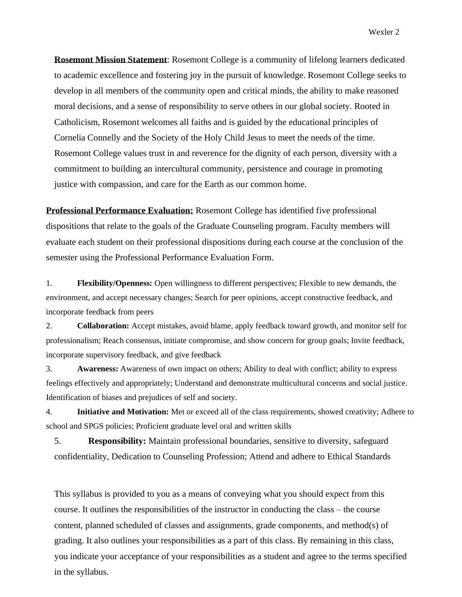**Rosemont Mission Statement**: Rosemont College is a community of lifelong learners dedicated to academic excellence and fostering joy in the pursuit of knowledge. Rosemont College seeks to develop in all members of the community open and critical minds, the ability to make reasoned moral decisions, and a sense of responsibility to serve others in our global society. Rooted in Catholicism, Rosemont welcomes all faiths and is guided by the educational principles of Cornelia Connelly and the Society of the Holy Child Jesus to meet the needs of the time. Rosemont College values trust in and reverence for the dignity of each person, diversity with a commitment to building an intercultural community, persistence and courage in promoting justice with compassion, and care for the Earth as our common home.

**Professional Performance Evaluation:** Rosemont College has identified five professional dispositions that relate to the goals of the Graduate Counseling program. Faculty members will evaluate each student on their professional dispositions during each course at the conclusion of the semester using the Professional Performance Evaluation Form.

1. **Flexibility/Openness:** Open willingness to different perspectives; Flexible to new demands, the environment, and accept necessary changes; Search for peer opinions, accept constructive feedback, and incorporate feedback from peers

2. **Collaboration:** Accept mistakes, avoid blame, apply feedback toward growth, and monitor self for professionalism; Reach consensus, initiate compromise, and show concern for group goals; Invite feedback, incorporate supervisory feedback, and give feedback

3. **Awareness:** Awareness of own impact on others; Ability to deal with conflict; ability to express feelings effectively and appropriately; Understand and demonstrate multicultural concerns and social justice. Identification of biases and prejudices of self and society.

4. **Initiative and Motivation:** Met or exceed all of the class requirements, showed creativity; Adhere to school and SPGS policies; Proficient graduate level oral and written skills

5. **Responsibility:** Maintain professional boundaries, sensitive to diversity, safeguard confidentiality, Dedication to Counseling Profession; Attend and adhere to Ethical Standards

This syllabus is provided to you as a means of conveying what you should expect from this course. It outlines the responsibilities of the instructor in conducting the class – the course content, planned scheduled of classes and assignments, grade components, and method(s) of grading. It also outlines your responsibilities as a part of this class. By remaining in this class, you indicate your acceptance of your responsibilities as a student and agree to the terms specified in the syllabus.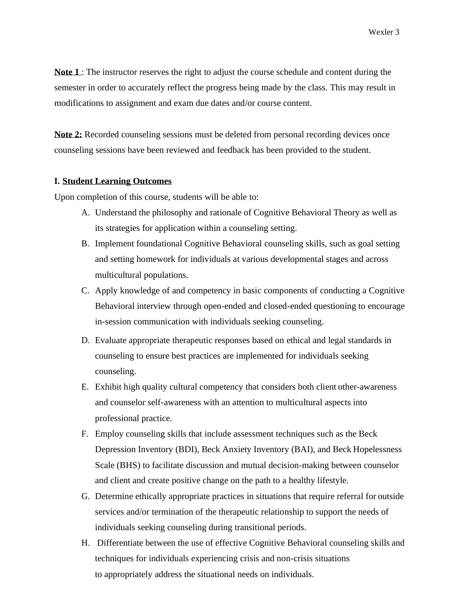**Note 1**: The instructor reserves the right to adjust the course schedule and content during the semester in order to accurately reflect the progress being made by the class. This may result in modifications to assignment and exam due dates and/or course content.

**Note 2:** Recorded counseling sessions must be deleted from personal recording devices once counseling sessions have been reviewed and feedback has been provided to the student.

#### **I. Student Learning Outcomes**

Upon completion of this course, students will be able to:

- A. Understand the philosophy and rationale of Cognitive Behavioral Theory as well as its strategies for application within a counseling setting.
- B. Implement foundational Cognitive Behavioral counseling skills, such as goal setting and setting homework for individuals at various developmental stages and across multicultural populations.
- C. Apply knowledge of and competency in basic components of conducting a Cognitive Behavioral interview through open-ended and closed-ended questioning to encourage in-session communication with individuals seeking counseling.
- D. Evaluate appropriate therapeutic responses based on ethical and legal standards in counseling to ensure best practices are implemented for individuals seeking counseling.
- E. Exhibit high quality cultural competency that considers both client other-awareness and counselor self-awareness with an attention to multicultural aspects into professional practice.
- F. Employ counseling skills that include assessment techniques such as the Beck Depression Inventory (BDI), Beck Anxiety Inventory (BAI), and Beck Hopelessness Scale (BHS) to facilitate discussion and mutual decision-making between counselor and client and create positive change on the path to a healthy lifestyle.
- G. Determine ethically appropriate practices in situations that require referral for outside services and/or termination of the therapeutic relationship to support the needs of individuals seeking counseling during transitional periods.
- H. Differentiate between the use of effective Cognitive Behavioral counseling skills and techniques for individuals experiencing crisis and non-crisis situations to appropriately address the situational needs on individuals.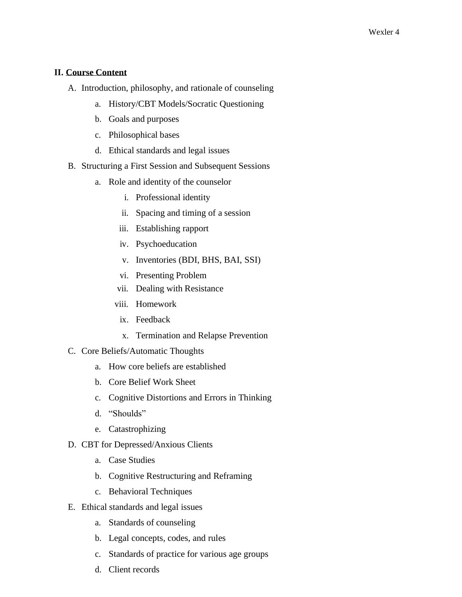#### **II. Course Content**

- A. Introduction, philosophy, and rationale of counseling
	- a. History/CBT Models/Socratic Questioning
	- b. Goals and purposes
	- c. Philosophical bases
	- d. Ethical standards and legal issues
- B. Structuring a First Session and Subsequent Sessions
	- a. Role and identity of the counselor
		- i. Professional identity
		- ii. Spacing and timing of a session
		- iii. Establishing rapport
		- iv. Psychoeducation
		- v. Inventories (BDI, BHS, BAI, SSI)
		- vi. Presenting Problem
		- vii. Dealing with Resistance
		- viii. Homework
		- ix. Feedback
		- x. Termination and Relapse Prevention
- C. Core Beliefs/Automatic Thoughts
	- a. How core beliefs are established
	- b. Core Belief Work Sheet
	- c. Cognitive Distortions and Errors in Thinking
	- d. "Shoulds"
	- e. Catastrophizing
- D. CBT for Depressed/Anxious Clients
	- a. Case Studies
	- b. Cognitive Restructuring and Reframing
	- c. Behavioral Techniques
- E. Ethical standards and legal issues
	- a. Standards of counseling
	- b. Legal concepts, codes, and rules
	- c. Standards of practice for various age groups
	- d. Client records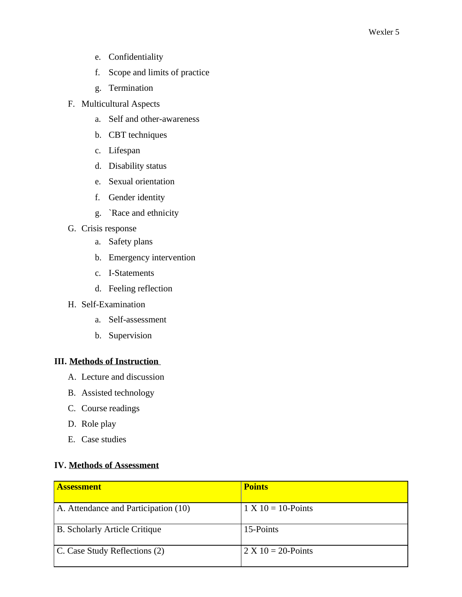- e. Confidentiality
- f. Scope and limits of practice
- g. Termination
- F. Multicultural Aspects
	- a. Self and other-awareness
	- b. CBT techniques
	- c. Lifespan
	- d. Disability status
	- e. Sexual orientation
	- f. Gender identity
	- g. `Race and ethnicity
- G. Crisis response
	- a. Safety plans
	- b. Emergency intervention
	- c. I-Statements
	- d. Feeling reflection
- H. Self-Examination
	- a. Self-assessment
	- b. Supervision

### **III. Methods of Instruction**

- A. Lecture and discussion
- B. Assisted technology
- C. Course readings
- D. Role play
- E. Case studies

## **IV. Methods of Assessment**

| <b>Assessment</b>                    | <b>Points</b>         |
|--------------------------------------|-----------------------|
|                                      |                       |
| A. Attendance and Participation (10) | $1 X 10 = 10$ -Points |
| <b>B.</b> Scholarly Article Critique | 15-Points             |
| C. Case Study Reflections (2)        | $2 X 10 = 20$ -Points |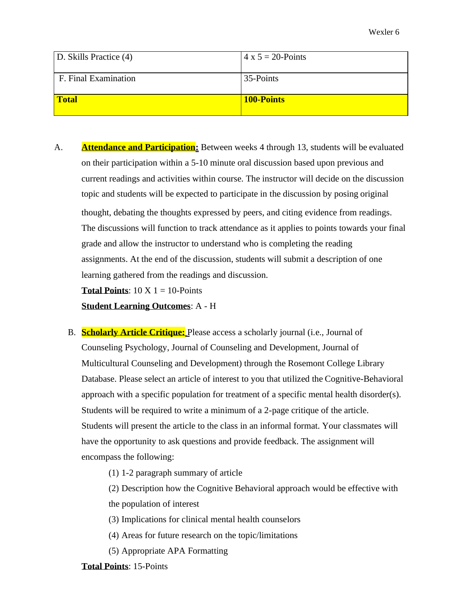| D. Skills Practice (4) | $4 \times 5 = 20$ -Points |
|------------------------|---------------------------|
| F. Final Examination   | 35-Points                 |
| <b>Total</b>           | <b>100-Points</b>         |

A. **Attendance and Participation:** Between weeks 4 through 13, students will be evaluated on their participation within a 5-10 minute oral discussion based upon previous and current readings and activities within course. The instructor will decide on the discussion topic and students will be expected to participate in the discussion by posing original thought, debating the thoughts expressed by peers, and citing evidence from readings. The discussions will function to track attendance as it applies to points towards your final grade and allow the instructor to understand who is completing the reading assignments. At the end of the discussion, students will submit a description of one learning gathered from the readings and discussion.

**Total Points**:  $10 \text{ X } 1 = 10$ -Points

**Student Learning Outcomes**: A - H

B. **Scholarly Article Critique:** Please access a scholarly journal (i.e., Journal of Counseling Psychology, Journal of Counseling and Development, Journal of Multicultural Counseling and Development) through the Rosemont College Library Database. Please select an article of interest to you that utilized the Cognitive-Behavioral approach with a specific population for treatment of a specific mental health disorder(s). Students will be required to write a minimum of a 2-page critique of the article. Students will present the article to the class in an informal format. Your classmates will have the opportunity to ask questions and provide feedback. The assignment will encompass the following:

(1) 1-2 paragraph summary of article

(2) Description how the Cognitive Behavioral approach would be effective with the population of interest

- (3) Implications for clinical mental health counselors
- (4) Areas for future research on the topic/limitations
- (5) Appropriate APA Formatting

**Total Points**: 15-Points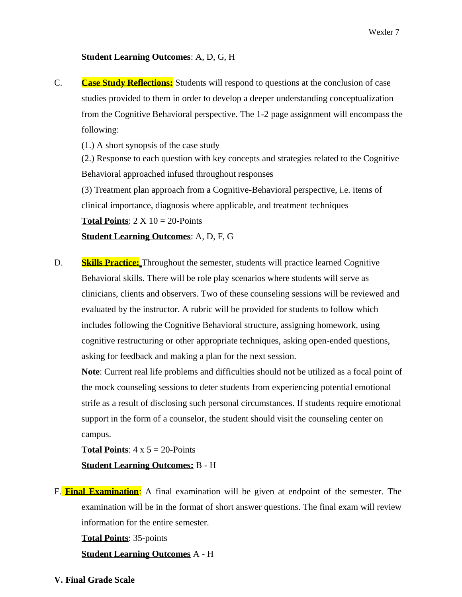#### **Student Learning Outcomes**: A, D, G, H

C. **Case Study Reflections:** Students will respond to questions at the conclusion of case studies provided to them in order to develop a deeper understanding conceptualization from the Cognitive Behavioral perspective. The 1-2 page assignment will encompass the following:

(1.) A short synopsis of the case study

(2.) Response to each question with key concepts and strategies related to the Cognitive Behavioral approached infused throughout responses

(3) Treatment plan approach from a Cognitive-Behavioral perspective, i.e. items of clinical importance, diagnosis where applicable, and treatment techniques

**Total Points:**  $2 \times 10 = 20$ -Points

**Student Learning Outcomes**: A, D, F, G

D. **Skills Practice:** Throughout the semester, students will practice learned Cognitive Behavioral skills. There will be role play scenarios where students will serve as clinicians, clients and observers. Two of these counseling sessions will be reviewed and evaluated by the instructor. A rubric will be provided for students to follow which includes following the Cognitive Behavioral structure, assigning homework, using cognitive restructuring or other appropriate techniques, asking open-ended questions, asking for feedback and making a plan for the next session.

**Note**: Current real life problems and difficulties should not be utilized as a focal point of the mock counseling sessions to deter students from experiencing potential emotional strife as a result of disclosing such personal circumstances. If students require emotional support in the form of a counselor, the student should visit the counseling center on campus.

**Total Points:**  $4 \times 5 = 20$ -Points

**Student Learning Outcomes:** B - H

F. **Final Examination**: A final examination will be given at endpoint of the semester. The examination will be in the format of short answer questions. The final exam will review information for the entire semester.

**Total Points**: 35-points

**Student Learning Outcomes** A - H

**V. Final Grade Scale**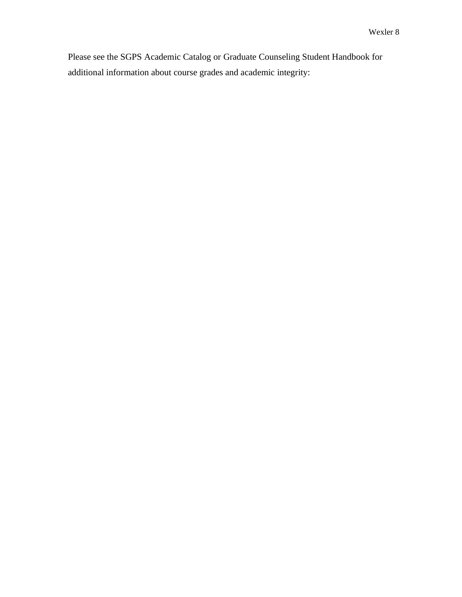Please see the SGPS Academic Catalog or Graduate Counseling Student Handbook for additional information about course grades and academic integrity: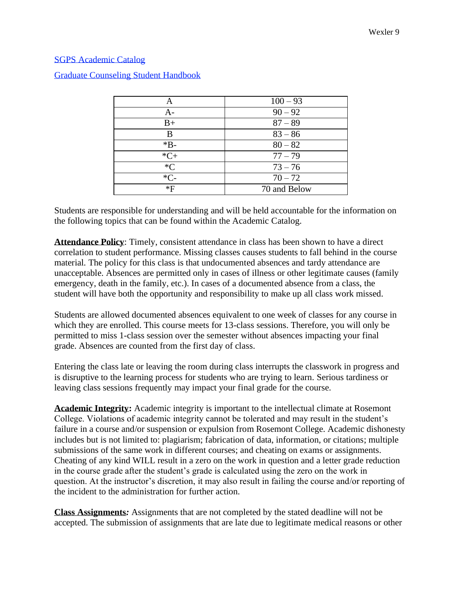#### SGPS Academic Catalog

| A           | $100 - 93$   |  |
|-------------|--------------|--|
| $A -$       | $90 - 92$    |  |
| $_{\rm B+}$ | $87 - 89$    |  |
| B           | $83 - 86$    |  |
| $*B-$       | $80 - 82$    |  |
| $*C+$       | $77 - 79$    |  |
| $C^*$       | $73 - 76$    |  |
| $*C-$       | $70 - 72$    |  |
| $*F$        | 70 and Below |  |

## Graduate Counseling Student Handbook

Students are responsible for understanding and will be held accountable for the information on the following topics that can be found within the Academic Catalog.

**Attendance Policy**: Timely, consistent attendance in class has been shown to have a direct correlation to student performance. Missing classes causes students to fall behind in the course material. The policy for this class is that undocumented absences and tardy attendance are unacceptable. Absences are permitted only in cases of illness or other legitimate causes (family emergency, death in the family, etc.). In cases of a documented absence from a class, the student will have both the opportunity and responsibility to make up all class work missed.

Students are allowed documented absences equivalent to one week of classes for any course in which they are enrolled. This course meets for 13-class sessions. Therefore, you will only be permitted to miss 1-class session over the semester without absences impacting your final grade. Absences are counted from the first day of class.

Entering the class late or leaving the room during class interrupts the classwork in progress and is disruptive to the learning process for students who are trying to learn. Serious tardiness or leaving class sessions frequently may impact your final grade for the course.

**Academic Integrity:** Academic integrity is important to the intellectual climate at Rosemont College. Violations of academic integrity cannot be tolerated and may result in the student's failure in a course and/or suspension or expulsion from Rosemont College. Academic dishonesty includes but is not limited to: plagiarism; fabrication of data, information, or citations; multiple submissions of the same work in different courses; and cheating on exams or assignments. Cheating of any kind WILL result in a zero on the work in question and a letter grade reduction in the course grade after the student's grade is calculated using the zero on the work in question. At the instructor's discretion, it may also result in failing the course and/or reporting of the incident to the administration for further action.

**Class Assignments***:* Assignments that are not completed by the stated deadline will not be accepted. The submission of assignments that are late due to legitimate medical reasons or other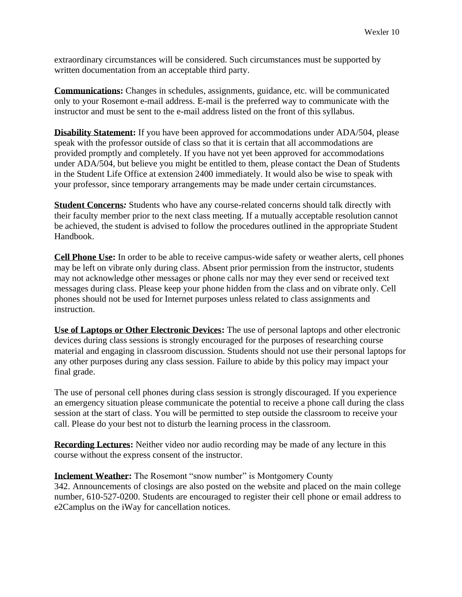extraordinary circumstances will be considered. Such circumstances must be supported by written documentation from an acceptable third party.

**Communications:** Changes in schedules, assignments, guidance, etc. will be communicated only to your Rosemont e-mail address. E-mail is the preferred way to communicate with the instructor and must be sent to the e-mail address listed on the front of this syllabus.

**Disability Statement:** If you have been approved for accommodations under ADA/504, please speak with the professor outside of class so that it is certain that all accommodations are provided promptly and completely. If you have not yet been approved for accommodations under ADA/504, but believe you might be entitled to them, please contact the Dean of Students in the Student Life Office at extension 2400 immediately. It would also be wise to speak with your professor, since temporary arrangements may be made under certain circumstances.

**Student Concerns***:* Students who have any course-related concerns should talk directly with their faculty member prior to the next class meeting. If a mutually acceptable resolution cannot be achieved, the student is advised to follow the procedures outlined in the appropriate Student Handbook.

**Cell Phone Use:** In order to be able to receive campus-wide safety or weather alerts, cell phones may be left on vibrate only during class. Absent prior permission from the instructor, students may not acknowledge other messages or phone calls nor may they ever send or received text messages during class. Please keep your phone hidden from the class and on vibrate only. Cell phones should not be used for Internet purposes unless related to class assignments and instruction.

**Use of Laptops or Other Electronic Devices:** The use of personal laptops and other electronic devices during class sessions is strongly encouraged for the purposes of researching course material and engaging in classroom discussion. Students should not use their personal laptops for any other purposes during any class session. Failure to abide by this policy may impact your final grade.

The use of personal cell phones during class session is strongly discouraged. If you experience an emergency situation please communicate the potential to receive a phone call during the class session at the start of class. You will be permitted to step outside the classroom to receive your call. Please do your best not to disturb the learning process in the classroom.

**Recording Lectures:** Neither video nor audio recording may be made of any lecture in this course without the express consent of the instructor.

### **Inclement Weather:** The Rosemont "snow number" is Montgomery County

342. Announcements of closings are also posted on the website and placed on the main college number, 610-527-0200. Students are encouraged to register their cell phone or email address to e2Camplus on the iWay for cancellation notices.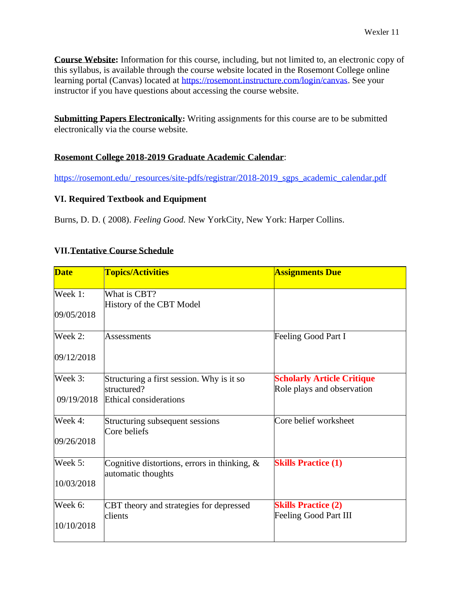**Course Website:** Information for this course, including, but not limited to, an electronic copy of this syllabus, is available through the course website located in the Rosemont College online learning portal (Canvas) located at [https://rosemont.instructure.com/login/canvas.](https://rosemont.instructure.com/login/canvas) See your instructor if you have questions about accessing the course website.

**Submitting Papers Electronically:** Writing assignments for this course are to be submitted electronically via the course website.

### **Rosemont College 2018-2019 Graduate Academic Calendar**:

[https://rosemont.edu/\\_resources/site-pdfs/registrar/2018-2019\\_sgps\\_academic\\_calendar.pdf](https://rosemont.edu/_resources/site-pdfs/registrar/2018-2019_sgps_academic_calendar.pdf)

### **VI. Required Textbook and Equipment**

Burns, D. D. ( 2008). *Feeling Good.* New YorkCity, New York: Harper Collins.

## **VII.Tentative Course Schedule**

| <b>Date</b> | <b>Topics/Activities</b>                                              | <b>Assignments Due</b>                                          |
|-------------|-----------------------------------------------------------------------|-----------------------------------------------------------------|
| Week 1:     | What is CBT?<br>History of the CBT Model                              |                                                                 |
| 09/05/2018  |                                                                       |                                                                 |
| Week 2:     | <b>Assessments</b>                                                    | Feeling Good Part I                                             |
| 09/12/2018  |                                                                       |                                                                 |
| Week 3:     | Structuring a first session. Why is it so<br>structured?              | <b>Scholarly Article Critique</b><br>Role plays and observation |
| 09/19/2018  | Ethical considerations                                                |                                                                 |
| Week 4:     | Structuring subsequent sessions<br>Core beliefs                       | Core belief worksheet                                           |
| 09/26/2018  |                                                                       |                                                                 |
| Week 5:     | Cognitive distortions, errors in thinking, $\&$<br>automatic thoughts | <b>Skills Practice (1)</b>                                      |
| 10/03/2018  |                                                                       |                                                                 |
| Week 6:     | CBT theory and strategies for depressed                               | <b>Skills Practice (2)</b>                                      |
| 10/10/2018  | clients                                                               | Feeling Good Part III                                           |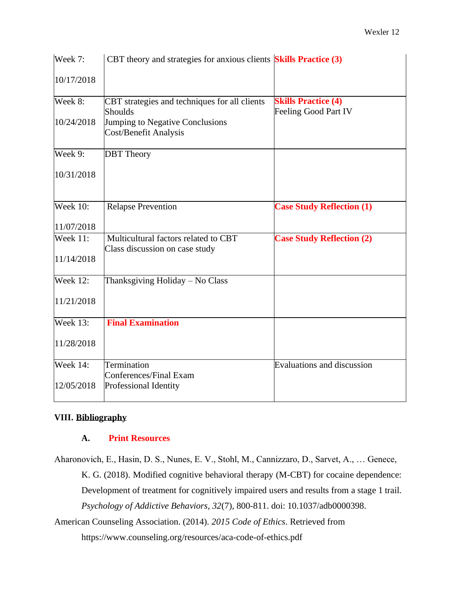| Week 7:         | CBT theory and strategies for anxious clients <b>Skills Practice</b> (3) |                                                    |
|-----------------|--------------------------------------------------------------------------|----------------------------------------------------|
| 10/17/2018      |                                                                          |                                                    |
| Week 8:         | CBT strategies and techniques for all clients<br><b>Shoulds</b>          | <b>Skills Practice (4)</b><br>Feeling Good Part IV |
| 10/24/2018      | Jumping to Negative Conclusions<br>Cost/Benefit Analysis                 |                                                    |
| Week 9:         | <b>DBT</b> Theory                                                        |                                                    |
| 10/31/2018      |                                                                          |                                                    |
| Week $10$ :     | <b>Relapse Prevention</b>                                                | <b>Case Study Reflection (1)</b>                   |
| 11/07/2018      |                                                                          |                                                    |
| <b>Week 11:</b> | Multicultural factors related to CBT<br>Class discussion on case study   | <b>Case Study Reflection (2)</b>                   |
| 11/14/2018      |                                                                          |                                                    |
| <b>Week 12:</b> | Thanksgiving Holiday - No Class                                          |                                                    |
| 11/21/2018      |                                                                          |                                                    |
| <b>Week 13:</b> | <b>Final Examination</b>                                                 |                                                    |
| 11/28/2018      |                                                                          |                                                    |
| <b>Week 14:</b> | Termination<br>Conferences/Final Exam                                    | Evaluations and discussion                         |
| 12/05/2018      | Professional Identity                                                    |                                                    |

## **VIII. Bibliography**

### **A. Print Resources**

Aharonovich, E., Hasin, D. S., Nunes, E. V., Stohl, M., Cannizzaro, D., Sarvet, A., … Genece, K. G. (2018). Modified cognitive behavioral therapy (M-CBT) for cocaine dependence: Development of treatment for cognitively impaired users and results from a stage 1 trail. *Psychology of Addictive Behaviors, 32*(7), 800-811. doi: 10.1037/adb0000398.

American Counseling Association. (2014). *2015 Code of Ethics*. Retrieved from https:[//www.counseling.org/resources/aca-code-of-ethics.pdf](http://www.counseling.org/resources/aca-code-of-ethics.pdf)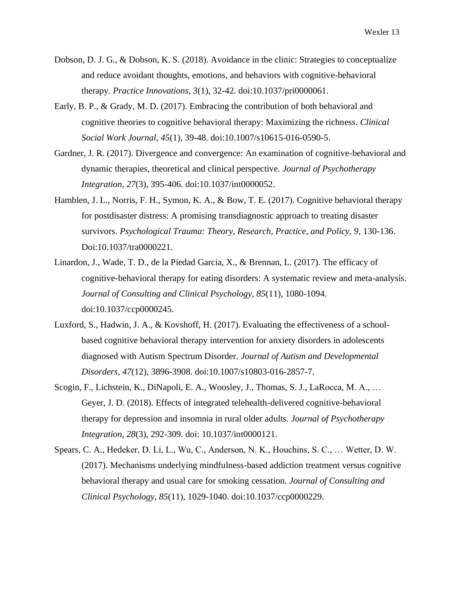- Dobson, D. J. G., & Dobson, K. S. (2018). Avoidance in the clinic: Strategies to conceptualize and reduce avoidant thoughts, emotions, and behaviors with cognitive-behavioral therapy*. Practice Innovations, 3*(1), 32-42. doi:10.1037/pri0000061.
- Early, B. P., & Grady, M. D. (2017). Embracing the contribution of both behavioral and cognitive theories to cognitive behavioral therapy: Maximizing the richness. *Clinical Social Work Journal, 45*(1), 39-48. doi:10.1007/s10615-016-0590-5.
- Gardner, J. R. (2017). Divergence and convergence: An examination of cognitive-behavioral and dynamic therapies, theoretical and clinical perspective. *Journal of Psychotherapy Integration, 27*(3), 395-406. doi:10.1037/int0000052.
- Hamblen, J. L., Norris, F. H., Symon, K. A., & Bow, T. E. (2017). Cognitive behavioral therapy for postdisaster distress: A promising transdiagnostic approach to treating disaster survivors. *Psychological Trauma: Theory, Research, Practice, and Policy, 9*, 130-136. Doi:10.1037/tra0000221.
- Linardon, J., Wade, T. D., de la Piedad Garcia, X., & Brennan, L. (2017). The efficacy of cognitive-behavioral therapy for eating disorders: A systematic review and meta-analysis. *Journal of Consulting and Clinical Psychology, 85*(11), 1080-1094. doi:10.1037/ccp0000245.
- Luxford, S., Hadwin, J. A., & Kovshoff, H. (2017). Evaluating the effectiveness of a schoolbased cognitive behavioral therapy intervention for anxiety disorders in adolescents diagnosed with Autism Spectrum Disorder. *Journal of Autism and Developmental Disorders, 47*(12), 3896-3908. doi:10.1007/s10803-016-2857-7.
- Scogin, F., Lichstein, K., DiNapoli, E. A., Woosley, J., Thomas, S. J., LaRocca, M. A., … Geyer, J. D. (2018). Effects of integrated telehealth-delivered cognitive-behavioral therapy for depression and insomnia in rural older adults. *Journal of Psychotherapy Integration, 28*(3), 292-309. doi: 10.1037/int0000121.
- Spears, C. A., Hedeker, D. Li, L., Wu, C., Anderson, N. K., Houchins, S. C., … Wetter, D. W. (2017). Mechanisms underlying mindfulness-based addiction treatment versus cognitive behavioral therapy and usual care for smoking cessation*. Journal of Consulting and Clinical Psychology, 85*(11), 1029-1040. doi:10.1037/ccp0000229.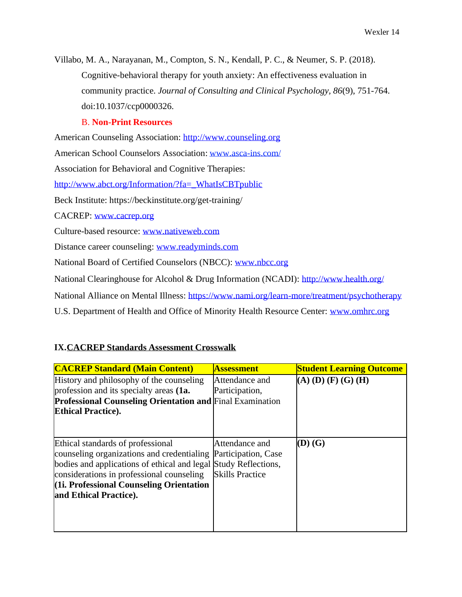Villabo, M. A., Narayanan, M., Compton, S. N., Kendall, P. C., & Neumer, S. P. (2018). Cognitive-behavioral therapy for youth anxiety: An effectiveness evaluation in community practice. *Journal of Consulting and Clinical Psychology, 86*(9), 751-764. doi:10.1037/ccp0000326.

## B. **Non-Print Resources**

American Counseling Association: [http://www.counseling.org](http://www.counseling.org/) American School Counselors Association: [www.asca-ins.com/](http://www.asca-ins.com/) Association for Behavioral and Cognitive Therapies: [http://www.abct.org/Information/?fa=\\_WhatIsCBTpublic](http://www.abct.org/Information/?fa=_WhatIsCBTpublic) Beck Institute: https://beckinstitute.org/get-training/ CACREP: [www.cacrep.org](http://www.cacrep.org/) Culture-based resource: [www.nativeweb.com](http://www.nativeweb.com/) Distance career counseling: [www.readyminds.com](http://www.readyminds.com/) National Board of Certified Counselors (NBCC): [www.nbcc.org](http://www.nbcc.org/) National Clearinghouse for Alcohol & Drug Information (NCADI):<http://www.health.org/> National Alliance on Mental Illness:<https://www.nami.org/learn-more/treatment/psychotherapy>

U.S. Department of Health and Office of Minority Health Resource Center: [www.omhrc.org](http://www.omhrc.org/)

# **IX.CACREP Standards Assessment Crosswalk**

| <b>CACREP Standard (Main Content)</b>                                                                                                                                                                                                                                 | <b>Assessment</b>                                               | <b>Student Learning Outcome</b> |
|-----------------------------------------------------------------------------------------------------------------------------------------------------------------------------------------------------------------------------------------------------------------------|-----------------------------------------------------------------|---------------------------------|
| History and philosophy of the counseling<br>profession and its specialty areas (1a.<br><b>Professional Counseling Orientation and Final Examination</b><br><b>Ethical Practice.</b>                                                                                   | Attendance and<br>Participation,                                | $(A)$ (D) (F) (G) (H)           |
| Ethical standards of professional<br>counseling organizations and credentialing<br>bodies and applications of ethical and legal Study Reflections,<br>considerations in professional counseling<br>(11. Professional Counseling Orientation<br>and Ethical Practice). | Attendance and<br>Participation, Case<br><b>Skills Practice</b> | (D) (G)                         |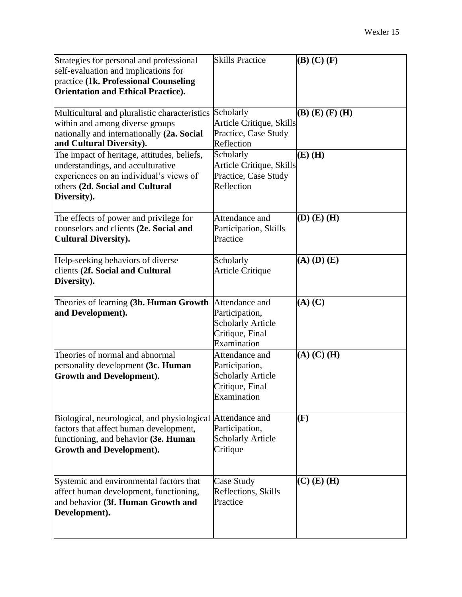| Strategies for personal and professional<br>self-evaluation and implications for<br>practice (1k. Professional Counseling<br><b>Orientation and Ethical Practice).</b>          | <b>Skills Practice</b>                                                                         | $(B)$ (C) $(F)$         |
|---------------------------------------------------------------------------------------------------------------------------------------------------------------------------------|------------------------------------------------------------------------------------------------|-------------------------|
| Multicultural and pluralistic characteristics<br>within and among diverse groups<br>nationally and internationally (2a. Social<br>and Cultural Diversity).                      | Scholarly<br>Article Critique, Skills<br>Practice, Case Study<br>Reflection                    | $(B)$ $(E)$ $(F)$ $(H)$ |
| The impact of heritage, attitudes, beliefs,<br>understandings, and acculturative<br>experiences on an individual's views of<br>others (2d. Social and Cultural<br>Diversity).   | Scholarly<br>Article Critique, Skills<br>Practice, Case Study<br>Reflection                    | $(E)$ (H)               |
| The effects of power and privilege for<br>counselors and clients (2e. Social and<br><b>Cultural Diversity).</b>                                                                 | Attendance and<br>Participation, Skills<br>Practice                                            | $(D)$ $(E)$ $(H)$       |
| Help-seeking behaviors of diverse<br>clients (2f. Social and Cultural<br>Diversity).                                                                                            | Scholarly<br>Article Critique                                                                  | $(A)$ $(D)$ $(E)$       |
| Theories of learning (3b. Human Growth<br>and Development).                                                                                                                     | Attendance and<br>Participation,<br><b>Scholarly Article</b><br>Critique, Final<br>Examination | $(A)$ $(C)$             |
| Theories of normal and abnormal<br>personality development (3c. Human<br><b>Growth and Development).</b>                                                                        | Attendance and<br>Participation,<br><b>Scholarly Article</b><br>Critique, Final<br>Examination | $(A)$ $(C)$ $(H)$       |
| Biological, neurological, and physiological Attendance and<br>factors that affect human development,<br>functioning, and behavior (3e. Human<br><b>Growth and Development).</b> | Participation,<br><b>Scholarly Article</b><br>Critique                                         | (F)                     |
| Systemic and environmental factors that<br>affect human development, functioning,<br>and behavior (3f. Human Growth and<br>Development).                                        | Case Study<br>Reflections, Skills<br>Practice                                                  | $(C)$ (E) (H)           |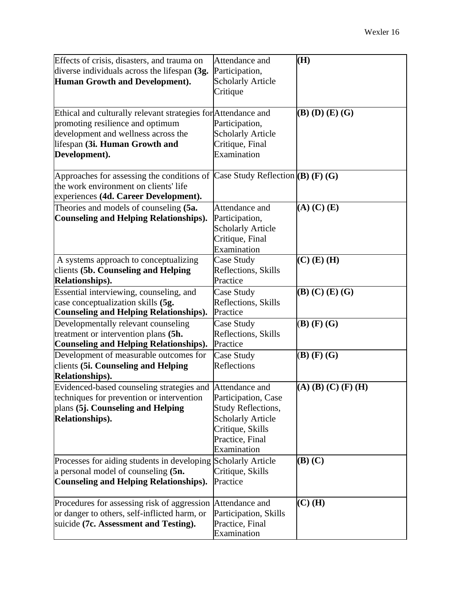| Effects of crisis, disasters, and trauma on                                    | Attendance and            | (H)                     |
|--------------------------------------------------------------------------------|---------------------------|-------------------------|
| diverse individuals across the lifespan (3g.                                   | Participation,            |                         |
| Human Growth and Development).                                                 | <b>Scholarly Article</b>  |                         |
|                                                                                | Critique                  |                         |
|                                                                                |                           |                         |
| Ethical and culturally relevant strategies for Attendance and                  |                           | $(B)$ $(D)$ $(E)$ $(G)$ |
| promoting resilience and optimum                                               | Participation,            |                         |
| development and wellness across the                                            | <b>Scholarly Article</b>  |                         |
| lifespan (3i. Human Growth and                                                 | Critique, Final           |                         |
| Development).                                                                  | Examination               |                         |
|                                                                                |                           |                         |
| Approaches for assessing the conditions of Case Study Reflection $(B)$ (F) (G) |                           |                         |
| the work environment on clients' life                                          |                           |                         |
| experiences (4d. Career Development).                                          |                           |                         |
| Theories and models of counseling (5a.                                         | Attendance and            | $(A)$ $(C)$ $(E)$       |
| <b>Counseling and Helping Relationships).</b>                                  | Participation,            |                         |
|                                                                                | <b>Scholarly Article</b>  |                         |
|                                                                                | Critique, Final           |                         |
|                                                                                | Examination               |                         |
| A systems approach to conceptualizing                                          | Case Study                | $(C)$ $(E)$ $(H)$       |
| clients (5b. Counseling and Helping                                            | Reflections, Skills       |                         |
| Relationships).                                                                | Practice                  |                         |
| Essential interviewing, counseling, and                                        | Case Study                | (B) (C) (E) (G)         |
| case conceptualization skills (5g.                                             | Reflections, Skills       |                         |
| <b>Counseling and Helping Relationships).</b>                                  | Practice                  |                         |
| Developmentally relevant counseling                                            | Case Study                | $(B)$ $(F)$ $(G)$       |
| treatment or intervention plans (5h.                                           | Reflections, Skills       |                         |
| <b>Counseling and Helping Relationships).</b>                                  | Practice                  |                         |
| Development of measurable outcomes for                                         | Case Study                | $(B)$ $(F)$ $(G)$       |
| clients (5i. Counseling and Helping                                            | Reflections               |                         |
| Relationships).                                                                |                           |                         |
| Evidenced-based counseling strategies and Attendance and                       |                           | $(A)$ (B) (C) (F) (H)   |
| techniques for prevention or intervention                                      | Participation, Case       |                         |
| plans (5j. Counseling and Helping                                              | <b>Study Reflections,</b> |                         |
| Relationships).                                                                | <b>Scholarly Article</b>  |                         |
|                                                                                | Critique, Skills          |                         |
|                                                                                | Practice, Final           |                         |
|                                                                                | Examination               |                         |
| Processes for aiding students in developing Scholarly Article                  |                           | $(B)$ $(C)$             |
| a personal model of counseling (5n.                                            | Critique, Skills          |                         |
| <b>Counseling and Helping Relationships).</b>                                  | Practice                  |                         |
|                                                                                |                           |                         |
| Procedures for assessing risk of aggression Attendance and                     |                           | $(C)$ (H)               |
| or danger to others, self-inflicted harm, or                                   | Participation, Skills     |                         |
| suicide (7c. Assessment and Testing).                                          | Practice, Final           |                         |
|                                                                                | Examination               |                         |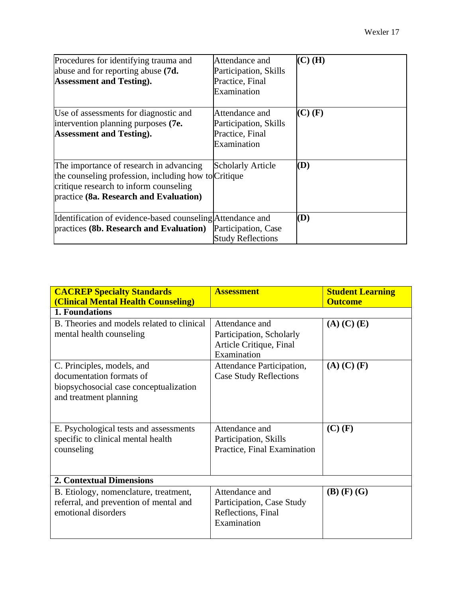| Procedures for identifying trauma and<br>abuse and for reporting abuse (7d.<br><b>Assessment and Testing.</b>                                                                       | Attendance and<br>Participation, Skills<br>Practice, Final<br>Examination | $(C)$ (H)   |
|-------------------------------------------------------------------------------------------------------------------------------------------------------------------------------------|---------------------------------------------------------------------------|-------------|
| Use of assessments for diagnostic and<br>intervention planning purposes (7e.<br><b>Assessment and Testing.</b>                                                                      | Attendance and<br>Participation, Skills<br>Practice, Final<br>Examination | $(C)$ $(F)$ |
| The importance of research in advancing<br>the counseling profession, including how to Critique<br>critique research to inform counseling<br>practice (8a. Research and Evaluation) | <b>Scholarly Article</b>                                                  | (D)         |
| Identification of evidence-based counseling Attendance and<br>practices (8b. Research and Evaluation)                                                                               | Participation, Case<br><b>Study Reflections</b>                           | (D)         |

| <b>CACREP Specialty Standards</b><br>(Clinical Mental Health Counseling)                                                   | <b>Assessment</b>                                                                    | <b>Student Learning</b><br><b>Outcome</b> |
|----------------------------------------------------------------------------------------------------------------------------|--------------------------------------------------------------------------------------|-------------------------------------------|
| 1. Foundations                                                                                                             |                                                                                      |                                           |
| B. Theories and models related to clinical<br>mental health counseling                                                     | Attendance and<br>Participation, Scholarly<br>Article Critique, Final<br>Examination | $(A)$ $(C)$ $(E)$                         |
| C. Principles, models, and<br>documentation formats of<br>biopsychosocial case conceptualization<br>and treatment planning | Attendance Participation,<br><b>Case Study Reflections</b>                           | $(A)$ $(C)$ $(F)$                         |
| E. Psychological tests and assessments<br>specific to clinical mental health<br>counseling                                 | Attendance and<br>Participation, Skills<br>Practice, Final Examination               | $(C)$ (F)                                 |
| <b>2. Contextual Dimensions</b>                                                                                            |                                                                                      |                                           |
| B. Etiology, nomenclature, treatment,<br>referral, and prevention of mental and<br>emotional disorders                     | Attendance and<br>Participation, Case Study<br>Reflections, Final<br>Examination     | $(B)$ $(F)$ $(G)$                         |